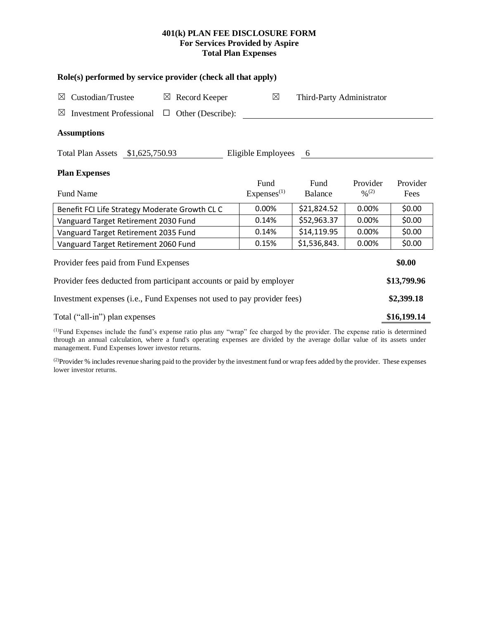## **401(k) PLAN FEE DISCLOSURE FORM For Services Provided by Aspire Total Plan Expenses**

| Role(s) performed by service provider (check all that apply)                                                                              |                                |                           |                                          |                  |  |  |  |  |  |
|-------------------------------------------------------------------------------------------------------------------------------------------|--------------------------------|---------------------------|------------------------------------------|------------------|--|--|--|--|--|
| Custodian/Trustee<br>$\boxtimes$ Record Keeper<br>⊠                                                                                       | $\boxtimes$                    | Third-Party Administrator |                                          |                  |  |  |  |  |  |
| Other (Describe):<br>$\boxtimes$<br>Investment Professional $\Box$                                                                        |                                |                           |                                          |                  |  |  |  |  |  |
| <b>Assumptions</b>                                                                                                                        |                                |                           |                                          |                  |  |  |  |  |  |
| \$1,625,750.93<br><b>Total Plan Assets</b><br>Eligible Employees<br>- 6                                                                   |                                |                           |                                          |                  |  |  |  |  |  |
| <b>Plan Expenses</b>                                                                                                                      |                                |                           |                                          |                  |  |  |  |  |  |
| <b>Fund Name</b>                                                                                                                          | Fund<br>Express <sup>(1)</sup> | Fund<br><b>Balance</b>    | Provider<br>$\frac{0}{2}$ <sup>(2)</sup> | Provider<br>Fees |  |  |  |  |  |
| Benefit FCI Life Strategy Moderate Growth CL C                                                                                            | 0.00%                          | \$21,824.52               | 0.00%                                    | \$0.00           |  |  |  |  |  |
| Vanguard Target Retirement 2030 Fund                                                                                                      | 0.14%                          | \$52,963.37               | 0.00%                                    | \$0.00           |  |  |  |  |  |
| Vanguard Target Retirement 2035 Fund                                                                                                      | 0.14%                          | \$14,119.95               | 0.00%                                    | \$0.00           |  |  |  |  |  |
| Vanguard Target Retirement 2060 Fund                                                                                                      | 0.15%                          | \$1,536,843.              | 0.00%                                    | \$0.00           |  |  |  |  |  |
| Provider fees paid from Fund Expenses                                                                                                     |                                |                           |                                          |                  |  |  |  |  |  |
| Provider fees deducted from participant accounts or paid by employer                                                                      |                                |                           |                                          |                  |  |  |  |  |  |
| Investment expenses (i.e., Fund Expenses not used to pay provider fees)                                                                   |                                |                           |                                          |                  |  |  |  |  |  |
| Total ("all-in") plan expenses                                                                                                            |                                |                           |                                          |                  |  |  |  |  |  |
| (1)Prind Princesso Include the Cind's criterial interests ((1) and ((1) and the changed the theory of the company material destruction of |                                |                           |                                          |                  |  |  |  |  |  |

(1)Fund Expenses include the fund's expense ratio plus any "wrap" fee charged by the provider. The expense ratio is determined through an annual calculation, where a fund's operating expenses are divided by the average dollar value of its assets under management. Fund Expenses lower investor returns.

<sup>(2)</sup>Provider % includes revenue sharing paid to the provider by the investment fund or wrap fees added by the provider. These expenses lower investor returns.